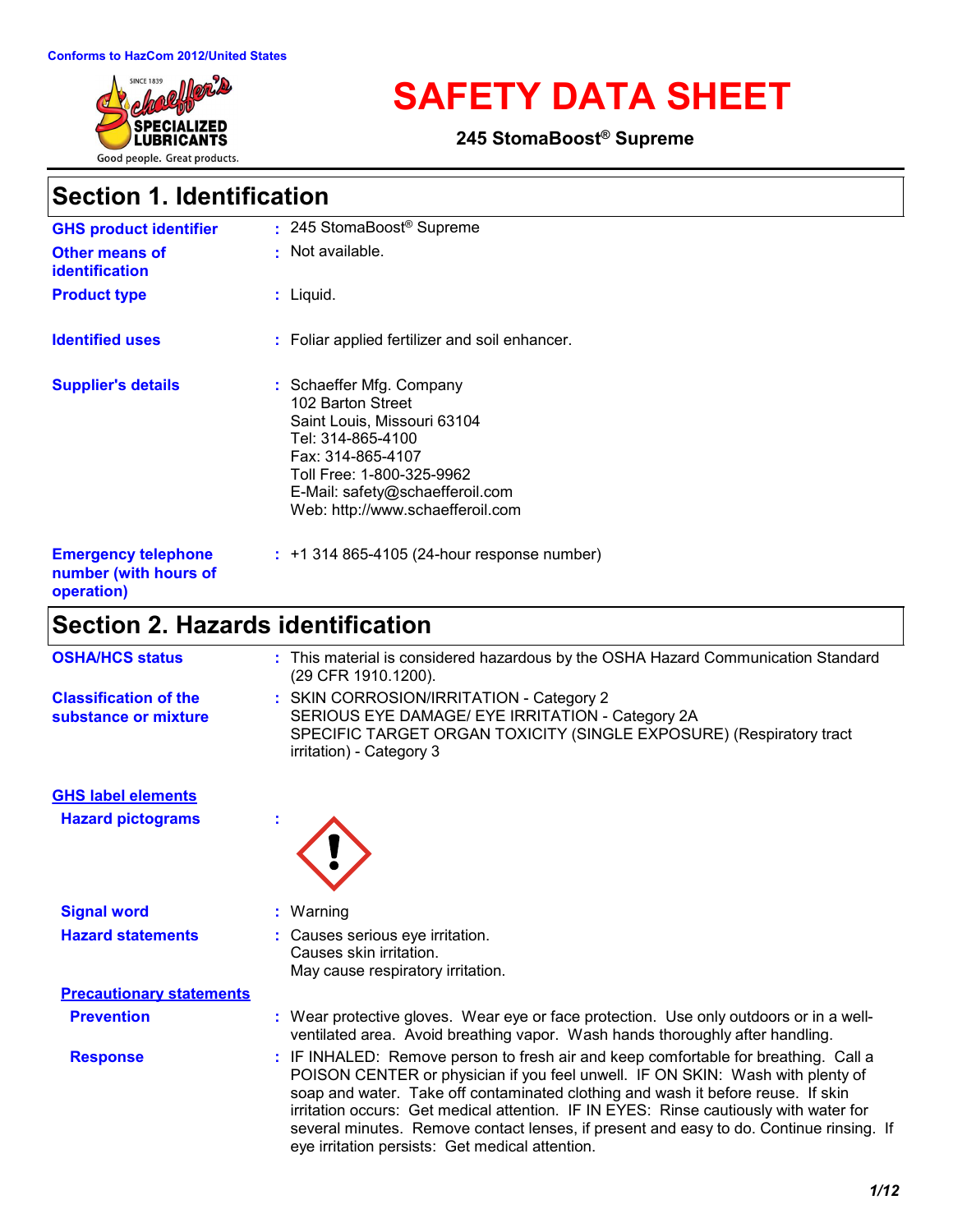

# **SAFETY DATA SHEET**

**245 StomaBoost® Supreme**

### **Section 1. Identification**

| <b>GHS product identifier</b>                                     | : 245 StomaBoost <sup>®</sup> Supreme                                                                                                                                                                                      |
|-------------------------------------------------------------------|----------------------------------------------------------------------------------------------------------------------------------------------------------------------------------------------------------------------------|
| <b>Other means of</b><br><b>identification</b>                    | : Not available.                                                                                                                                                                                                           |
| <b>Product type</b>                                               | $:$ Liquid.                                                                                                                                                                                                                |
| <b>Identified uses</b>                                            | : Foliar applied fertilizer and soil enhancer.                                                                                                                                                                             |
| <b>Supplier's details</b>                                         | : Schaeffer Mfg. Company<br>102 Barton Street<br>Saint Louis, Missouri 63104<br>Tel: 314-865-4100<br>Fax: 314-865-4107<br>Toll Free: 1-800-325-9962<br>E-Mail: safety@schaefferoil.com<br>Web: http://www.schaefferoil.com |
| <b>Emergency telephone</b><br>number (with hours of<br>operation) | $: 1314865 - 4105(24 - hour$ response number)                                                                                                                                                                              |

# **Section 2. Hazards identification**

| <b>OSHA/HCS status</b>                               | : This material is considered hazardous by the OSHA Hazard Communication Standard<br>(29 CFR 1910.1200).                                                                                                                                                                                                                                                                                                                                                                                       |
|------------------------------------------------------|------------------------------------------------------------------------------------------------------------------------------------------------------------------------------------------------------------------------------------------------------------------------------------------------------------------------------------------------------------------------------------------------------------------------------------------------------------------------------------------------|
| <b>Classification of the</b><br>substance or mixture | : SKIN CORROSION/IRRITATION - Category 2<br>SERIOUS EYE DAMAGE/ EYE IRRITATION - Category 2A<br>SPECIFIC TARGET ORGAN TOXICITY (SINGLE EXPOSURE) (Respiratory tract<br>irritation) - Category 3                                                                                                                                                                                                                                                                                                |
| <b>GHS label elements</b>                            |                                                                                                                                                                                                                                                                                                                                                                                                                                                                                                |
| <b>Hazard pictograms</b>                             |                                                                                                                                                                                                                                                                                                                                                                                                                                                                                                |
| <b>Signal word</b>                                   | Warning                                                                                                                                                                                                                                                                                                                                                                                                                                                                                        |
| <b>Hazard statements</b>                             | Causes serious eye irritation.<br>Causes skin irritation.<br>May cause respiratory irritation.                                                                                                                                                                                                                                                                                                                                                                                                 |
| <b>Precautionary statements</b>                      |                                                                                                                                                                                                                                                                                                                                                                                                                                                                                                |
| <b>Prevention</b>                                    | Wear protective gloves. Wear eye or face protection. Use only outdoors or in a well-<br>ventilated area. Avoid breathing vapor. Wash hands thoroughly after handling.                                                                                                                                                                                                                                                                                                                          |
| <b>Response</b>                                      | IF INHALED: Remove person to fresh air and keep comfortable for breathing. Call a<br>POISON CENTER or physician if you feel unwell. IF ON SKIN: Wash with plenty of<br>soap and water. Take off contaminated clothing and wash it before reuse. If skin<br>irritation occurs: Get medical attention. IF IN EYES: Rinse cautiously with water for<br>several minutes. Remove contact lenses, if present and easy to do. Continue rinsing. If<br>eye irritation persists: Get medical attention. |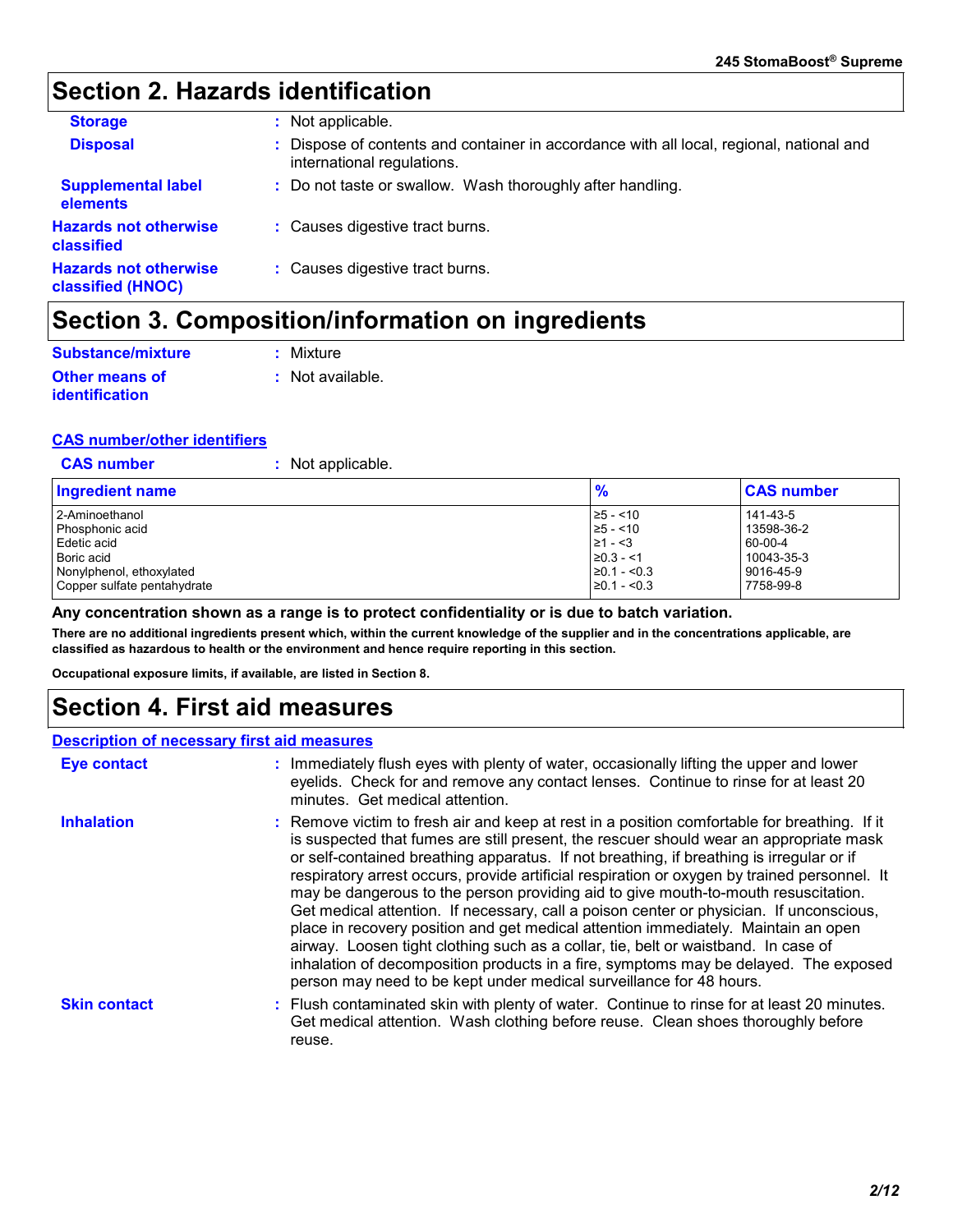### **Section 2. Hazards identification**

| <b>Storage</b>                                           | : Not applicable.                                                                                                      |
|----------------------------------------------------------|------------------------------------------------------------------------------------------------------------------------|
| <b>Disposal</b>                                          | : Dispose of contents and container in accordance with all local, regional, national and<br>international regulations. |
| <b>Supplemental label</b><br>elements                    | : Do not taste or swallow. Wash thoroughly after handling.                                                             |
| <b>Hazards not otherwise</b><br>classified               | : Causes digestive tract burns.                                                                                        |
| <b>Hazards not otherwise</b><br><b>classified (HNOC)</b> | : Causes digestive tract burns.                                                                                        |

### **Section 3. Composition/information on ingredients**

| Substance/mixture                       | : Mixture          |
|-----------------------------------------|--------------------|
| <b>Other means of</b><br>identification | $:$ Not available. |

#### **CAS number/other identifiers**

**CAS number :** Not applicable.

| Ingredient name             | $\frac{9}{6}$    | <b>CAS number</b> |
|-----------------------------|------------------|-------------------|
| 2-Aminoethanol              | $\ge$ 5 - <10    | 141-43-5          |
| Phosphonic acid             | $\ge 5 - 10$     | 13598-36-2        |
| Edetic acid                 | $\geq 1 - 3$     | 60-00-4           |
| Boric acid                  | $\geq 0.3 - 1$   | 10043-35-3        |
| Nonylphenol, ethoxylated    | $\geq 0.1 - 5.3$ | 9016-45-9         |
| Copper sulfate pentahydrate | $\geq 0.1 - 5.3$ | 7758-99-8         |

#### **Any concentration shown as a range is to protect confidentiality or is due to batch variation.**

**There are no additional ingredients present which, within the current knowledge of the supplier and in the concentrations applicable, are classified as hazardous to health or the environment and hence require reporting in this section.**

**Occupational exposure limits, if available, are listed in Section 8.**

### **Section 4. First aid measures**

#### **Description of necessary first aid measures**

| <b>Eye contact</b>  | : Immediately flush eyes with plenty of water, occasionally lifting the upper and lower<br>eyelids. Check for and remove any contact lenses. Continue to rinse for at least 20<br>minutes. Get medical attention.                                                                                                                                                                                                                                                                                                                                                                                                                                                                                                                                                                                                                                                                                              |
|---------------------|----------------------------------------------------------------------------------------------------------------------------------------------------------------------------------------------------------------------------------------------------------------------------------------------------------------------------------------------------------------------------------------------------------------------------------------------------------------------------------------------------------------------------------------------------------------------------------------------------------------------------------------------------------------------------------------------------------------------------------------------------------------------------------------------------------------------------------------------------------------------------------------------------------------|
| <b>Inhalation</b>   | : Remove victim to fresh air and keep at rest in a position comfortable for breathing. If it<br>is suspected that fumes are still present, the rescuer should wear an appropriate mask<br>or self-contained breathing apparatus. If not breathing, if breathing is irregular or if<br>respiratory arrest occurs, provide artificial respiration or oxygen by trained personnel. It<br>may be dangerous to the person providing aid to give mouth-to-mouth resuscitation.<br>Get medical attention. If necessary, call a poison center or physician. If unconscious,<br>place in recovery position and get medical attention immediately. Maintain an open<br>airway. Loosen tight clothing such as a collar, tie, belt or waistband. In case of<br>inhalation of decomposition products in a fire, symptoms may be delayed. The exposed<br>person may need to be kept under medical surveillance for 48 hours. |
| <b>Skin contact</b> | : Flush contaminated skin with plenty of water. Continue to rinse for at least 20 minutes.<br>Get medical attention. Wash clothing before reuse. Clean shoes thoroughly before<br>reuse.                                                                                                                                                                                                                                                                                                                                                                                                                                                                                                                                                                                                                                                                                                                       |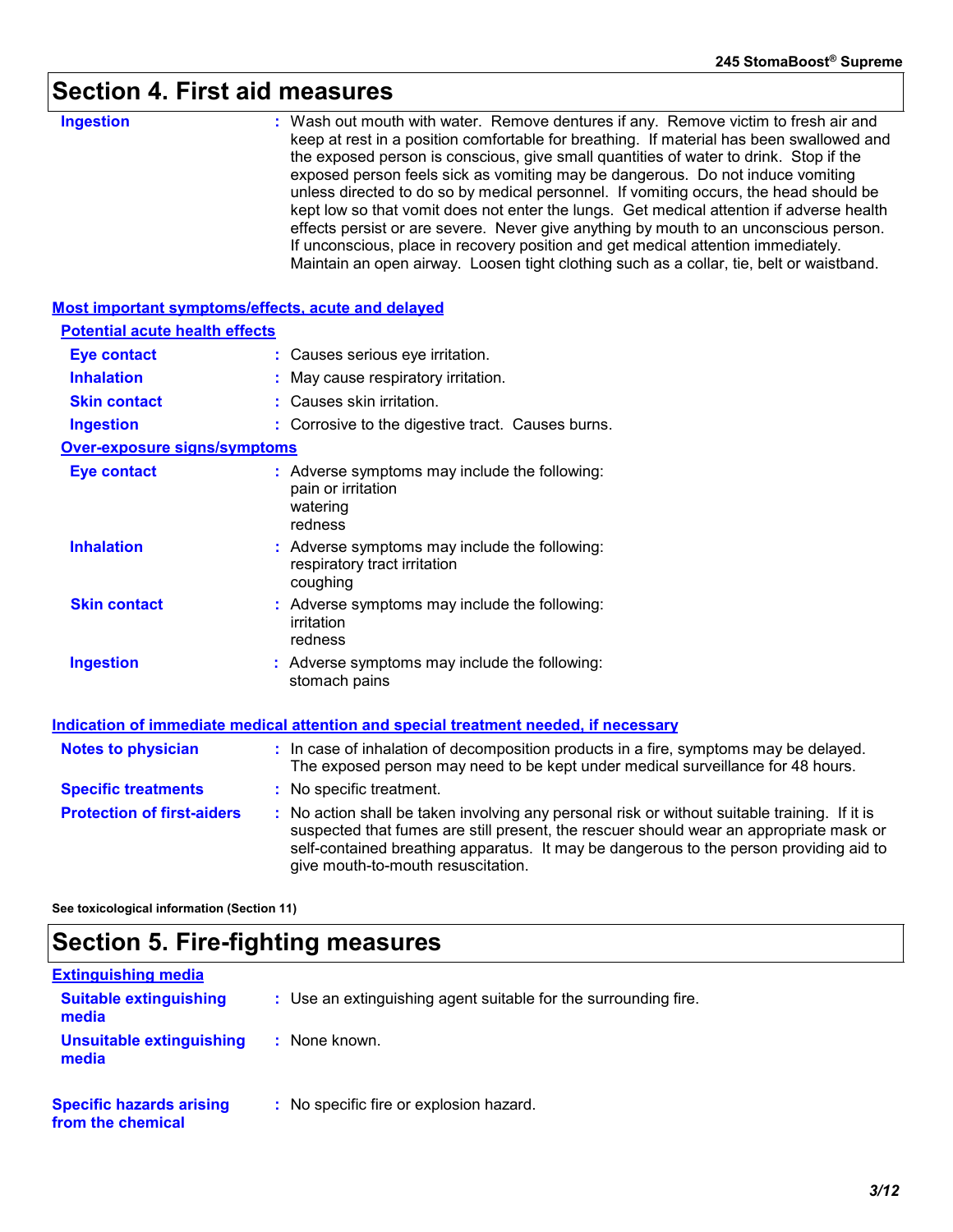# **Section 4. First aid measures**

| <b>Ingestion</b>                                          | : Wash out mouth with water. Remove dentures if any. Remove victim to fresh air and<br>keep at rest in a position comfortable for breathing. If material has been swallowed and<br>the exposed person is conscious, give small quantities of water to drink. Stop if the<br>exposed person feels sick as vomiting may be dangerous. Do not induce vomiting<br>unless directed to do so by medical personnel. If vomiting occurs, the head should be<br>kept low so that vomit does not enter the lungs. Get medical attention if adverse health<br>effects persist or are severe. Never give anything by mouth to an unconscious person.<br>If unconscious, place in recovery position and get medical attention immediately.<br>Maintain an open airway. Loosen tight clothing such as a collar, tie, belt or waistband. |
|-----------------------------------------------------------|---------------------------------------------------------------------------------------------------------------------------------------------------------------------------------------------------------------------------------------------------------------------------------------------------------------------------------------------------------------------------------------------------------------------------------------------------------------------------------------------------------------------------------------------------------------------------------------------------------------------------------------------------------------------------------------------------------------------------------------------------------------------------------------------------------------------------|
| <b>Most important symptoms/effects, acute and delayed</b> |                                                                                                                                                                                                                                                                                                                                                                                                                                                                                                                                                                                                                                                                                                                                                                                                                           |
| <b>Potential acute health effects</b>                     |                                                                                                                                                                                                                                                                                                                                                                                                                                                                                                                                                                                                                                                                                                                                                                                                                           |
| <b>Eye contact</b>                                        | : Causes serious eye irritation.                                                                                                                                                                                                                                                                                                                                                                                                                                                                                                                                                                                                                                                                                                                                                                                          |
| <b>Inhalation</b>                                         | May cause respiratory irritation.                                                                                                                                                                                                                                                                                                                                                                                                                                                                                                                                                                                                                                                                                                                                                                                         |
| <b>Skin contact</b>                                       | : Causes skin irritation.                                                                                                                                                                                                                                                                                                                                                                                                                                                                                                                                                                                                                                                                                                                                                                                                 |
| <b>Ingestion</b>                                          | : Corrosive to the digestive tract. Causes burns.                                                                                                                                                                                                                                                                                                                                                                                                                                                                                                                                                                                                                                                                                                                                                                         |
| <b>Over-exposure signs/symptoms</b>                       |                                                                                                                                                                                                                                                                                                                                                                                                                                                                                                                                                                                                                                                                                                                                                                                                                           |
| <b>Eye contact</b>                                        | : Adverse symptoms may include the following:<br>pain or irritation<br>watering<br>redness                                                                                                                                                                                                                                                                                                                                                                                                                                                                                                                                                                                                                                                                                                                                |
| <b>Inhalation</b>                                         | : Adverse symptoms may include the following:<br>respiratory tract irritation<br>coughing                                                                                                                                                                                                                                                                                                                                                                                                                                                                                                                                                                                                                                                                                                                                 |
| <b>Skin contact</b>                                       | : Adverse symptoms may include the following:<br>irritation<br>redness                                                                                                                                                                                                                                                                                                                                                                                                                                                                                                                                                                                                                                                                                                                                                    |
| <b>Ingestion</b>                                          | : Adverse symptoms may include the following:<br>stomach pains                                                                                                                                                                                                                                                                                                                                                                                                                                                                                                                                                                                                                                                                                                                                                            |
|                                                           | Indication of immediate medical attention and special treatment needed, if necessary                                                                                                                                                                                                                                                                                                                                                                                                                                                                                                                                                                                                                                                                                                                                      |
| <b>Notes to physician</b>                                 | : In case of inhalation of decomposition products in a fire, symptoms may be delayed.<br>The exposed person may need to be kept under medical surveillance for 48 hours.                                                                                                                                                                                                                                                                                                                                                                                                                                                                                                                                                                                                                                                  |
| <b>Specific treatments</b>                                | : No specific treatment.                                                                                                                                                                                                                                                                                                                                                                                                                                                                                                                                                                                                                                                                                                                                                                                                  |
| <b>Protection of first-aiders</b>                         | : No action shall be taken involving any personal risk or without suitable training. If it is<br>suspected that fumes are still present, the rescuer should wear an appropriate mask or<br>self-contained breathing apparatus. It may be dangerous to the person providing aid to<br>give mouth-to-mouth resuscitation.                                                                                                                                                                                                                                                                                                                                                                                                                                                                                                   |

**See toxicological information (Section 11)**

## **Section 5. Fire-fighting measures**

| <b>Extinguishing media</b>                           |                                                                 |
|------------------------------------------------------|-----------------------------------------------------------------|
| <b>Suitable extinguishing</b><br>media               | : Use an extinguishing agent suitable for the surrounding fire. |
| Unsuitable extinguishing<br>media                    | : None known.                                                   |
| <b>Specific hazards arising</b><br>from the chemical | : No specific fire or explosion hazard.                         |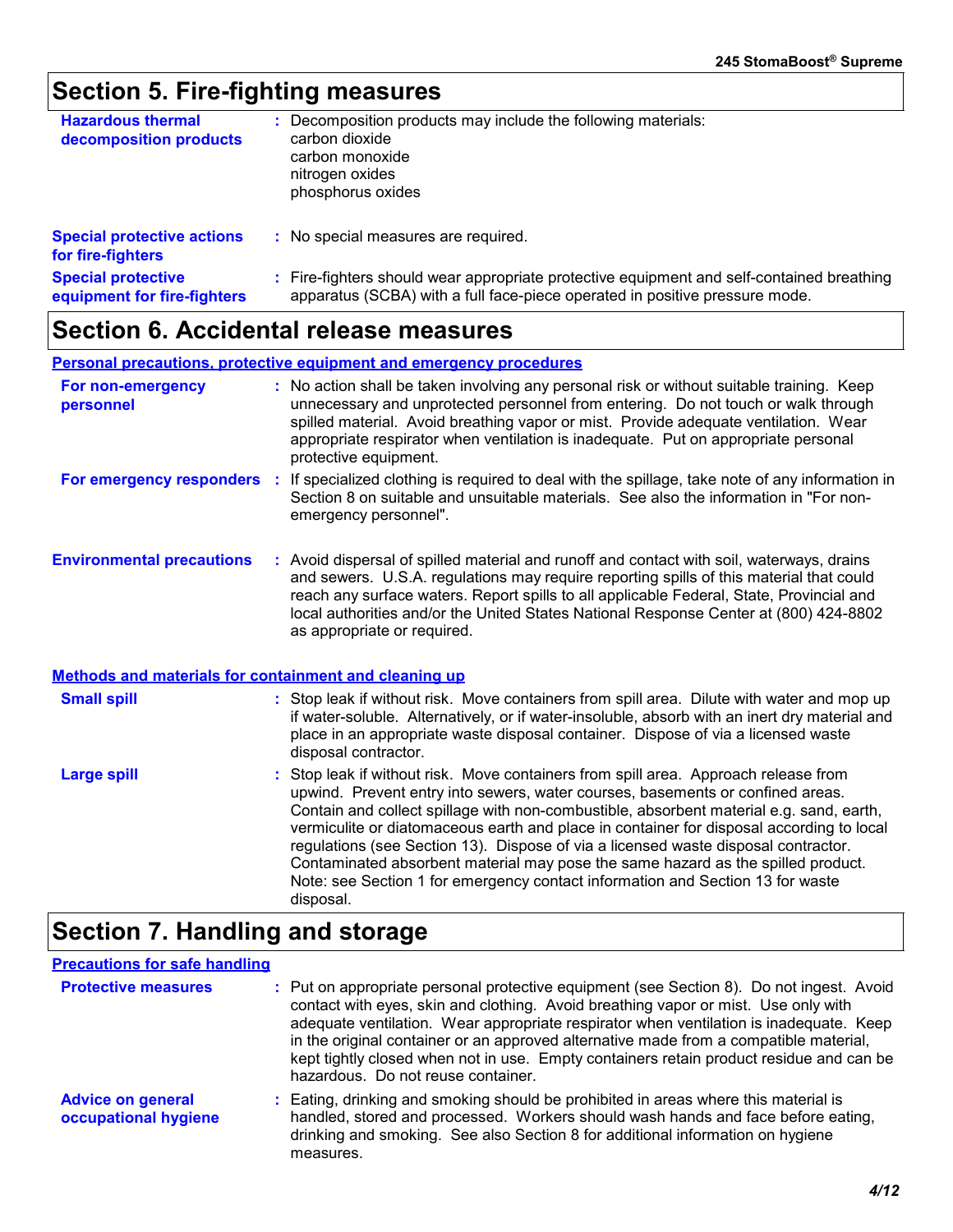### **Section 5. Fire-fighting measures**

| <b>Hazardous thermal</b><br>decomposition products       | Decomposition products may include the following materials:<br>carbon dioxide<br>carbon monoxide<br>nitrogen oxides<br>phosphorus oxides                               |
|----------------------------------------------------------|------------------------------------------------------------------------------------------------------------------------------------------------------------------------|
| <b>Special protective actions</b><br>for fire-fighters   | : No special measures are required.                                                                                                                                    |
| <b>Special protective</b><br>equipment for fire-fighters | Fire-fighters should wear appropriate protective equipment and self-contained breathing<br>apparatus (SCBA) with a full face-piece operated in positive pressure mode. |

### **Section 6. Accidental release measures**

**Personal precautions, protective equipment and emergency procedures**

| <b>For non-emergency</b><br>personnel | : No action shall be taken involving any personal risk or without suitable training. Keep<br>unnecessary and unprotected personnel from entering. Do not touch or walk through<br>spilled material. Avoid breathing vapor or mist. Provide adequate ventilation. Wear<br>appropriate respirator when ventilation is inadequate. Put on appropriate personal<br>protective equipment. |
|---------------------------------------|--------------------------------------------------------------------------------------------------------------------------------------------------------------------------------------------------------------------------------------------------------------------------------------------------------------------------------------------------------------------------------------|
| For emergency responders              | : If specialized clothing is required to deal with the spillage, take note of any information in<br>Section 8 on suitable and unsuitable materials. See also the information in "For non-<br>emergency personnel".                                                                                                                                                                   |
| <b>Environmental precautions</b>      | : Avoid dispersal of spilled material and runoff and contact with soil, waterways, drains                                                                                                                                                                                                                                                                                            |

and sewers. U.S.A. regulations may require reporting spills of this material that could reach any surface waters. Report spills to all applicable Federal, State, Provincial and local authorities and/or the United States National Response Center at (800) 424-8802 as appropriate or required.

#### **Methods and materials for containment and cleaning up**

| <b>Small spill</b> | : Stop leak if without risk. Move containers from spill area. Dilute with water and mop up<br>if water-soluble. Alternatively, or if water-insoluble, absorb with an inert dry material and<br>place in an appropriate waste disposal container. Dispose of via a licensed waste<br>disposal contractor.                                                                                                                                           |
|--------------------|----------------------------------------------------------------------------------------------------------------------------------------------------------------------------------------------------------------------------------------------------------------------------------------------------------------------------------------------------------------------------------------------------------------------------------------------------|
| Large spill        | : Stop leak if without risk. Move containers from spill area. Approach release from<br>upwind. Prevent entry into sewers, water courses, basements or confined areas.<br>Contain and collect spillage with non-combustible, absorbent material e.g. sand, earth,<br>vermiculite or diatomaceous earth and place in container for disposal according to local<br>regulations (see Section 13). Dispose of via a licensed waste disposal contractor. |

Contaminated absorbent material may pose the same hazard as the spilled product. Note: see Section 1 for emergency contact information and Section 13 for waste

### **Section 7. Handling and storage**

disposal.

#### **Precautions for safe handling**

| <b>Protective measures</b>                       | : Put on appropriate personal protective equipment (see Section 8). Do not ingest. Avoid<br>contact with eyes, skin and clothing. Avoid breathing vapor or mist. Use only with<br>adequate ventilation. Wear appropriate respirator when ventilation is inadequate. Keep<br>in the original container or an approved alternative made from a compatible material,<br>kept tightly closed when not in use. Empty containers retain product residue and can be<br>hazardous. Do not reuse container. |
|--------------------------------------------------|----------------------------------------------------------------------------------------------------------------------------------------------------------------------------------------------------------------------------------------------------------------------------------------------------------------------------------------------------------------------------------------------------------------------------------------------------------------------------------------------------|
| <b>Advice on general</b><br>occupational hygiene | : Eating, drinking and smoking should be prohibited in areas where this material is<br>handled, stored and processed. Workers should wash hands and face before eating,<br>drinking and smoking. See also Section 8 for additional information on hygiene<br>measures.                                                                                                                                                                                                                             |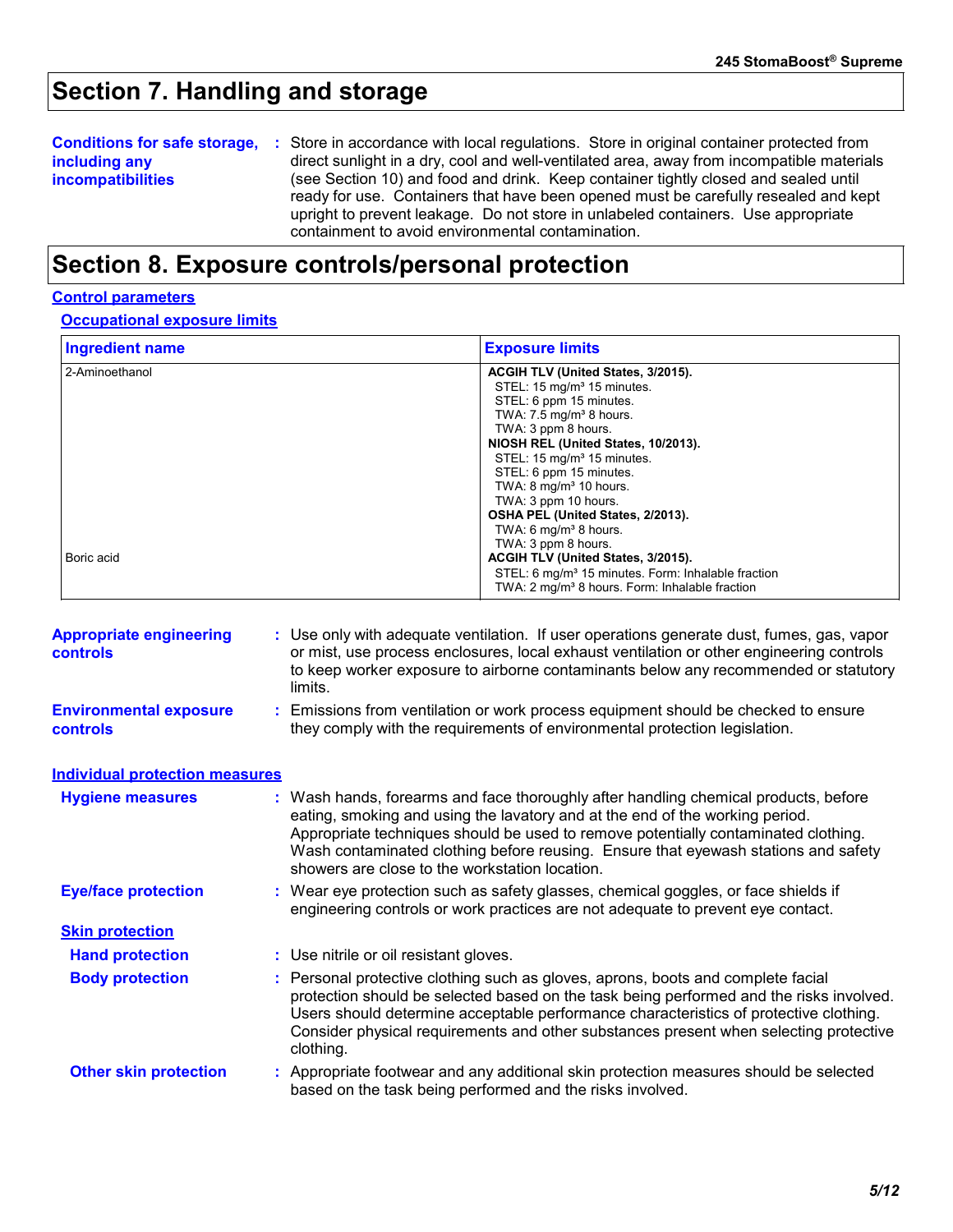### **Section 7. Handling and storage**

| <b>Conditions for safe storage,</b> | : Store in accordance with local regulations. Store in original container protected from  |  |  |  |
|-------------------------------------|-------------------------------------------------------------------------------------------|--|--|--|
| including any                       | direct sunlight in a dry, cool and well-ventilated area, away from incompatible materials |  |  |  |
| <b>incompatibilities</b>            | (see Section 10) and food and drink. Keep container tightly closed and sealed until       |  |  |  |
|                                     | ready for use. Containers that have been opened must be carefully resealed and kept       |  |  |  |
|                                     | upright to prevent leakage. Do not store in unlabeled containers. Use appropriate         |  |  |  |
|                                     | containment to avoid environmental contamination.                                         |  |  |  |

### **Section 8. Exposure controls/personal protection**

#### **Control parameters**

**Occupational exposure limits**

| <b>Ingredient name</b> | <b>Exposure limits</b>                                                                                                       |
|------------------------|------------------------------------------------------------------------------------------------------------------------------|
| 2-Aminoethanol         | ACGIH TLV (United States, 3/2015).<br>STEL: 15 mg/m <sup>3</sup> 15 minutes.<br>STEL: 6 ppm 15 minutes.                      |
|                        | TWA: $7.5 \text{ mg/m}^3$ 8 hours.<br>TWA: 3 ppm 8 hours.<br>NIOSH REL (United States, 10/2013).                             |
|                        | STEL: 15 mg/m <sup>3</sup> 15 minutes.<br>STEL: 6 ppm 15 minutes.                                                            |
|                        | TWA: $8 \text{ mg/m}^3$ 10 hours.<br>TWA: 3 ppm 10 hours.<br>OSHA PEL (United States, 2/2013).                               |
| Boric acid             | TWA: 6 mg/m <sup>3</sup> 8 hours.<br>TWA: 3 ppm 8 hours.<br>ACGIH TLV (United States, 3/2015).                               |
|                        | STEL: 6 mg/m <sup>3</sup> 15 minutes. Form: Inhalable fraction<br>TWA: 2 mg/m <sup>3</sup> 8 hours. Form: Inhalable fraction |

| <b>Appropriate engineering</b><br><b>controls</b> | : Use only with adequate ventilation. If user operations generate dust, fumes, gas, vapor<br>or mist, use process enclosures, local exhaust ventilation or other engineering controls<br>to keep worker exposure to airborne contaminants below any recommended or statutory<br>limits.                                                                                                           |
|---------------------------------------------------|---------------------------------------------------------------------------------------------------------------------------------------------------------------------------------------------------------------------------------------------------------------------------------------------------------------------------------------------------------------------------------------------------|
| <b>Environmental exposure</b><br>controls         | : Emissions from ventilation or work process equipment should be checked to ensure<br>they comply with the requirements of environmental protection legislation.                                                                                                                                                                                                                                  |
| <b>Individual protection measures</b>             |                                                                                                                                                                                                                                                                                                                                                                                                   |
| <b>Hygiene measures</b>                           | : Wash hands, forearms and face thoroughly after handling chemical products, before<br>eating, smoking and using the lavatory and at the end of the working period.<br>Appropriate techniques should be used to remove potentially contaminated clothing.<br>Wash contaminated clothing before reusing. Ensure that eyewash stations and safety<br>showers are close to the workstation location. |
| <b>Eye/face protection</b>                        | : Wear eye protection such as safety glasses, chemical goggles, or face shields if<br>engineering controls or work practices are not adequate to prevent eye contact.                                                                                                                                                                                                                             |
| <b>Skin protection</b>                            |                                                                                                                                                                                                                                                                                                                                                                                                   |
| <b>Hand protection</b>                            | : Use nitrile or oil resistant gloves.                                                                                                                                                                                                                                                                                                                                                            |
| <b>Body protection</b>                            | : Personal protective clothing such as gloves, aprons, boots and complete facial<br>protection should be selected based on the task being performed and the risks involved.<br>Users should determine acceptable performance characteristics of protective clothing.<br>Consider physical requirements and other substances present when selecting protective<br>clothing.                        |
| <b>Other skin protection</b>                      | : Appropriate footwear and any additional skin protection measures should be selected<br>based on the task being performed and the risks involved.                                                                                                                                                                                                                                                |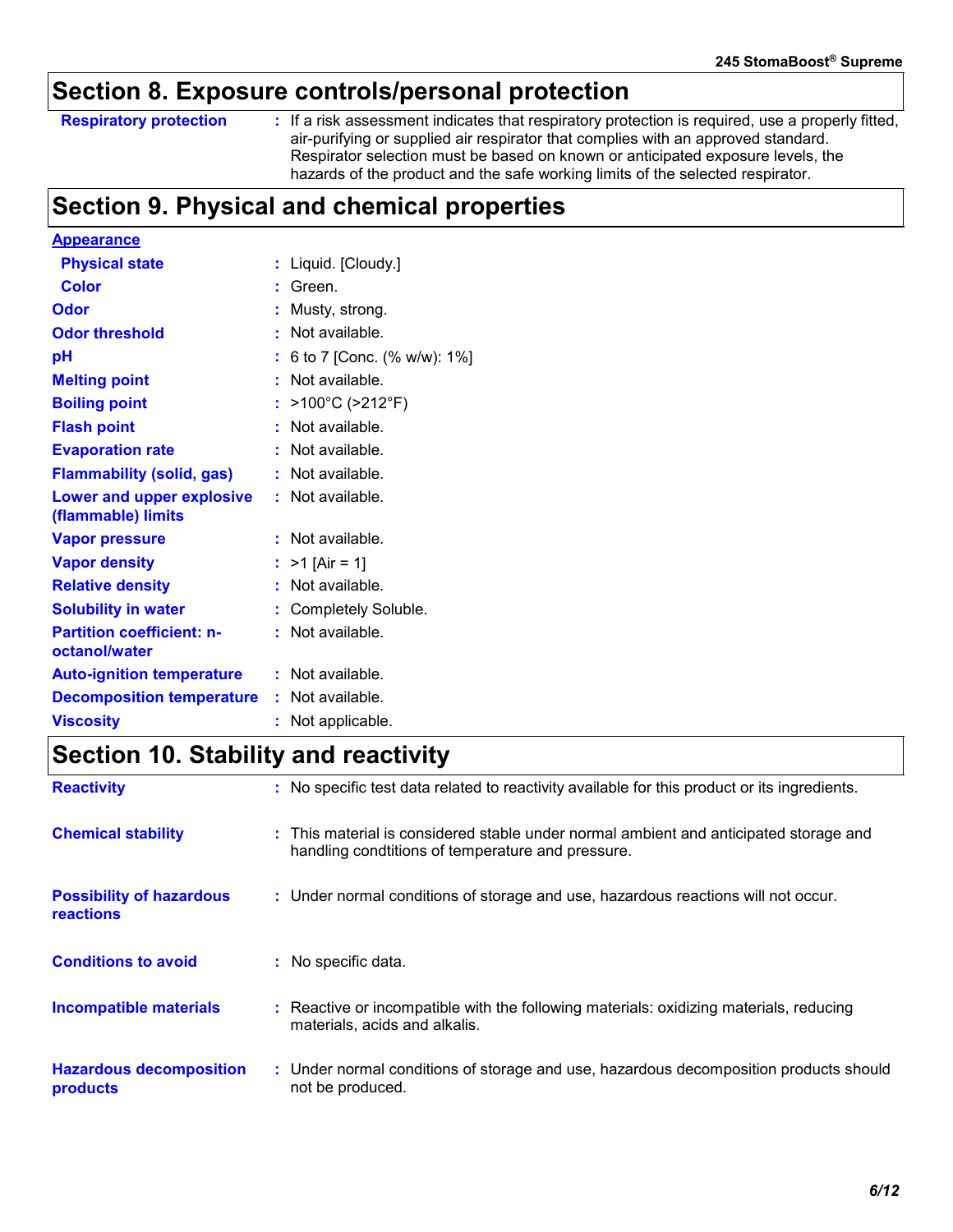### **Section 8. Exposure controls/personal protection**

#### **Respiratory protection :**

: If a risk assessment indicates that respiratory protection is required, use a properly fitted, air-purifying or supplied air respirator that complies with an approved standard. Respirator selection must be based on known or anticipated exposure levels, the hazards of the product and the safe working limits of the selected respirator.

### **Section 9. Physical and chemical properties**

| <b>Appearance</b>                               |    |                            |
|-------------------------------------------------|----|----------------------------|
| <b>Physical state</b>                           |    | Liquid. [Cloudy.]          |
| Color                                           |    | Green.                     |
| <b>Odor</b>                                     |    | Musty, strong.             |
| <b>Odor threshold</b>                           |    | Not available.             |
| рH                                              |    | 6 to 7 [Conc. (% w/w): 1%] |
| <b>Melting point</b>                            |    | Not available.             |
| <b>Boiling point</b>                            |    | >100°C (>212°F)            |
| <b>Flash point</b>                              |    | Not available.             |
| <b>Evaporation rate</b>                         |    | Not available.             |
| <b>Flammability (solid, gas)</b>                |    | Not available.             |
| Lower and upper explosive<br>(flammable) limits |    | Not available.             |
| <b>Vapor pressure</b>                           |    | Not available.             |
| <b>Vapor density</b>                            |    | $>1$ [Air = 1]             |
| <b>Relative density</b>                         |    | Not available.             |
| <b>Solubility in water</b>                      | t. | Completely Soluble.        |
| <b>Partition coefficient: n-</b>                |    | Not available.             |
| octanol/water                                   |    |                            |
| <b>Auto-ignition temperature</b>                |    | $:$ Not available.         |
| <b>Decomposition temperature</b>                |    | : Not available.           |
| <b>Viscosity</b>                                |    | Not applicable.            |

### **Section 10. Stability and reactivity**

| <b>Reactivity</b>                            | : No specific test data related to reactivity available for this product or its ingredients.                                               |
|----------------------------------------------|--------------------------------------------------------------------------------------------------------------------------------------------|
| <b>Chemical stability</b>                    | : This material is considered stable under normal ambient and anticipated storage and<br>handling condtitions of temperature and pressure. |
| <b>Possibility of hazardous</b><br>reactions | : Under normal conditions of storage and use, hazardous reactions will not occur.                                                          |
| <b>Conditions to avoid</b>                   | : No specific data.                                                                                                                        |
| <b>Incompatible materials</b>                | : Reactive or incompatible with the following materials: oxidizing materials, reducing<br>materials, acids and alkalis.                    |
| <b>Hazardous decomposition</b><br>products   | : Under normal conditions of storage and use, hazardous decomposition products should<br>not be produced.                                  |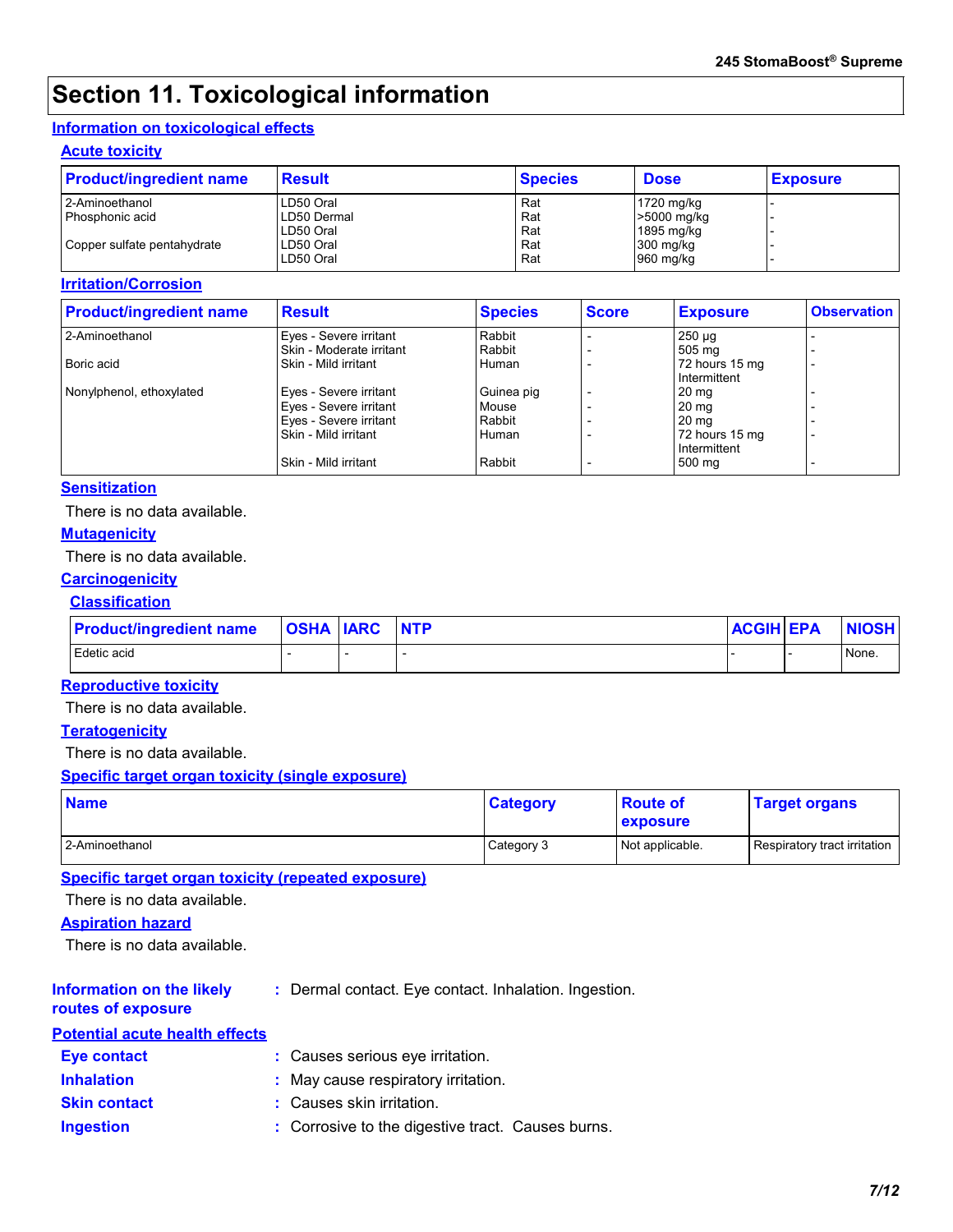### **Section 11. Toxicological information**

#### **Information on toxicological effects**

#### **Acute toxicity**

| <b>Product/ingredient name</b> | <b>Result</b> | <b>Species</b> | <b>Dose</b> | <b>Exposure</b> |
|--------------------------------|---------------|----------------|-------------|-----------------|
| 2-Aminoethanol                 | LD50 Oral     | Rat            | 1720 mg/kg  |                 |
| I Phosphonic acid              | LD50 Dermal   | Rat            | >5000 mg/kg |                 |
|                                | LD50 Oral     | Rat            | 1895 mg/kg  |                 |
| Copper sulfate pentahydrate    | LD50 Oral     | Rat            | $300$ mg/kg |                 |
|                                | LD50 Oral     | Rat            | 960 mg/kg   |                 |

#### **Irritation/Corrosion**

| <b>Product/ingredient name</b> | <b>Result</b>            | <b>Species</b> | <b>Score</b> | <b>Exposure</b>                | <b>Observation</b> |
|--------------------------------|--------------------------|----------------|--------------|--------------------------------|--------------------|
| 2-Aminoethanol                 | Eyes - Severe irritant   | Rabbit         |              | $250 \mu g$                    |                    |
|                                | Skin - Moderate irritant | Rabbit         |              | 505 mg                         |                    |
| Boric acid                     | Skin - Mild irritant     | Human          |              | 72 hours 15 mg<br>Intermittent |                    |
| Nonylphenol, ethoxylated       | Eyes - Severe irritant   | Guinea pig     |              | 20 <sub>mg</sub>               |                    |
|                                | Eyes - Severe irritant   | Mouse          |              | 20 <sub>mg</sub>               |                    |
|                                | Eyes - Severe irritant   | Rabbit         |              | 20 <sub>mg</sub>               |                    |
|                                | Skin - Mild irritant     | Human          |              | 72 hours 15 mg                 |                    |
|                                |                          |                |              | Intermittent                   |                    |
|                                | Skin - Mild irritant     | Rabbit         |              | 500 mg                         |                    |

#### **Sensitization**

There is no data available.

#### **Mutagenicity**

There is no data available.

#### **Carcinogenicity**

#### **Classification**

| <b>Product/ingredient name</b> | <b>OSHA IARC</b> | <b>INTP</b> | <b>ACGIH EPA</b> | <b>NIOSH</b> |
|--------------------------------|------------------|-------------|------------------|--------------|
| Edetic acid                    |                  |             |                  | None.        |

#### **Reproductive toxicity**

There is no data available.

#### **Teratogenicity**

There is no data available.

#### **Specific target organ toxicity (single exposure)**

| <b>Name</b>    | <b>Category</b> | <b>Route of</b><br><b>exposure</b> | <b>Target organs</b>         |
|----------------|-----------------|------------------------------------|------------------------------|
| 2-Aminoethanol | Category 3      | Not applicable.                    | Respiratory tract irritation |

#### **Specific target organ toxicity (repeated exposure)**

There is no data available.

#### **Aspiration hazard**

There is no data available.

### **Information on the likely**

**:** Dermal contact. Eye contact. Inhalation. Ingestion.

#### **routes of exposure Potential acute health effort**

| Potential acute health effects' |                                                   |
|---------------------------------|---------------------------------------------------|
| <b>Eve contact</b>              | : Causes serious eye irritation.                  |
| <b>Inhalation</b>               | : May cause respiratory irritation.               |
| <b>Skin contact</b>             | : Causes skin irritation.                         |
| <b>Ingestion</b>                | : Corrosive to the digestive tract. Causes burns. |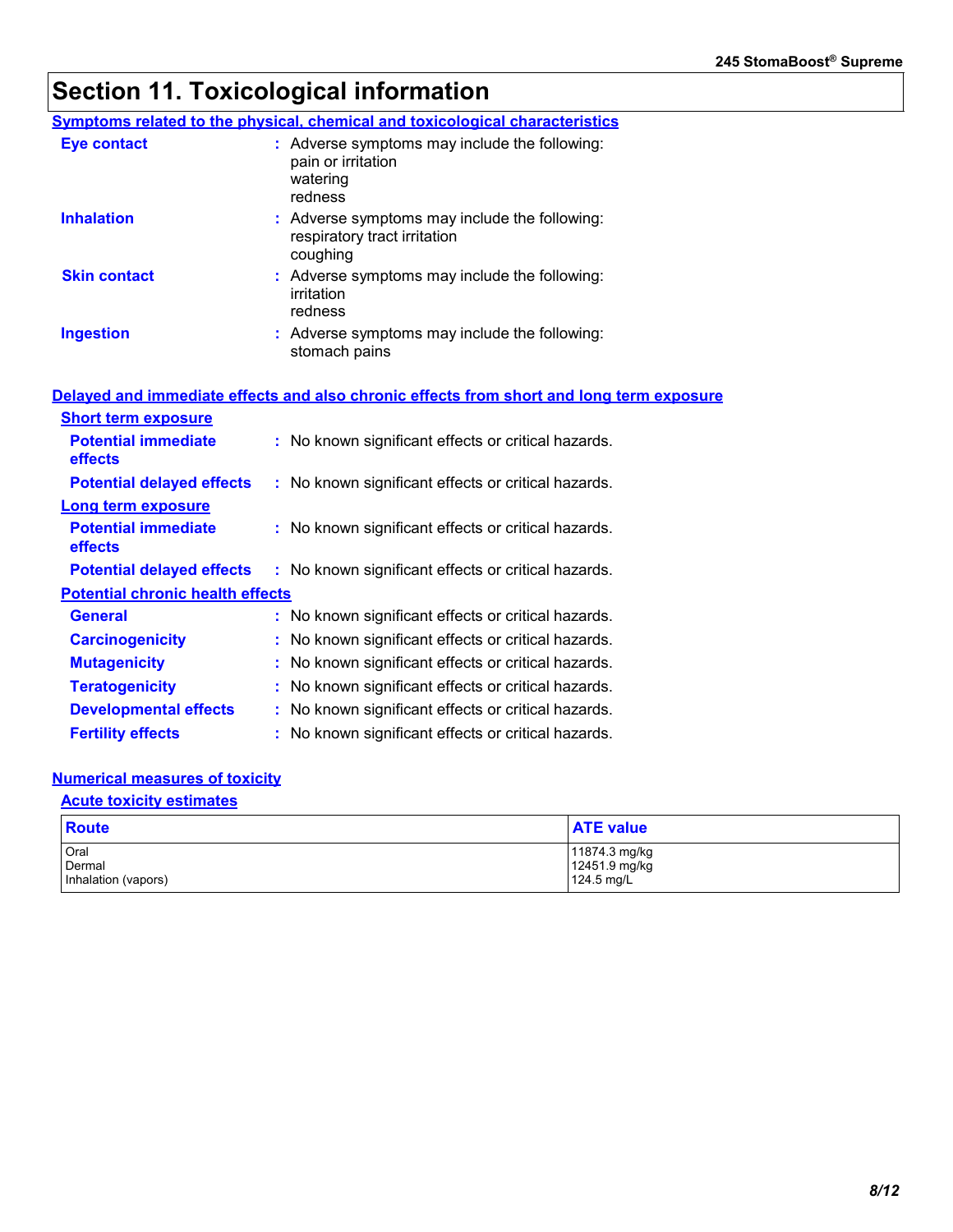# **Section 11. Toxicological information**

|                                                                                          | <b>Symptoms related to the physical, chemical and toxicological characteristics</b>        |  |  |  |  |  |
|------------------------------------------------------------------------------------------|--------------------------------------------------------------------------------------------|--|--|--|--|--|
| <b>Eye contact</b>                                                                       | : Adverse symptoms may include the following:<br>pain or irritation<br>watering<br>redness |  |  |  |  |  |
| <b>Inhalation</b>                                                                        | : Adverse symptoms may include the following:<br>respiratory tract irritation<br>coughing  |  |  |  |  |  |
| <b>Skin contact</b>                                                                      | : Adverse symptoms may include the following:<br>irritation<br>redness                     |  |  |  |  |  |
| <b>Ingestion</b>                                                                         | : Adverse symptoms may include the following:<br>stomach pains                             |  |  |  |  |  |
| Delayed and immediate effects and also chronic effects from short and long term exposure |                                                                                            |  |  |  |  |  |
| <b>Short term exposure</b>                                                               |                                                                                            |  |  |  |  |  |
| <b>Potential immediate</b><br>effects                                                    | : No known significant effects or critical hazards.                                        |  |  |  |  |  |
| <b>Potential delayed effects</b>                                                         | : No known significant effects or critical hazards.                                        |  |  |  |  |  |
| <b>Long term exposure</b>                                                                |                                                                                            |  |  |  |  |  |
| <b>Potential immediate</b><br>effects                                                    | : No known significant effects or critical hazards.                                        |  |  |  |  |  |
| <b>Potential delayed effects</b>                                                         | : No known significant effects or critical hazards.                                        |  |  |  |  |  |
| <b>Potential chronic health effects</b>                                                  |                                                                                            |  |  |  |  |  |
| <b>General</b>                                                                           | : No known significant effects or critical hazards.                                        |  |  |  |  |  |
| <b>Carcinogenicity</b>                                                                   | : No known significant effects or critical hazards.                                        |  |  |  |  |  |
| <b>Mutagenicity</b>                                                                      | : No known significant effects or critical hazards.                                        |  |  |  |  |  |
| <b>Teratogenicity</b>                                                                    | : No known significant effects or critical hazards.                                        |  |  |  |  |  |
| <b>Developmental effects</b>                                                             | : No known significant effects or critical hazards.                                        |  |  |  |  |  |
| <b>Fertility effects</b>                                                                 | : No known significant effects or critical hazards.                                        |  |  |  |  |  |

### **Numerical measures of toxicity**

### **Acute toxicity estimates**

| <b>Route</b>        | <b>ATE value</b> |
|---------------------|------------------|
| Oral                | 11874.3 mg/kg    |
| Dermal              | 12451.9 mg/kg    |
| Inhalation (vapors) | $124.5$ mg/L     |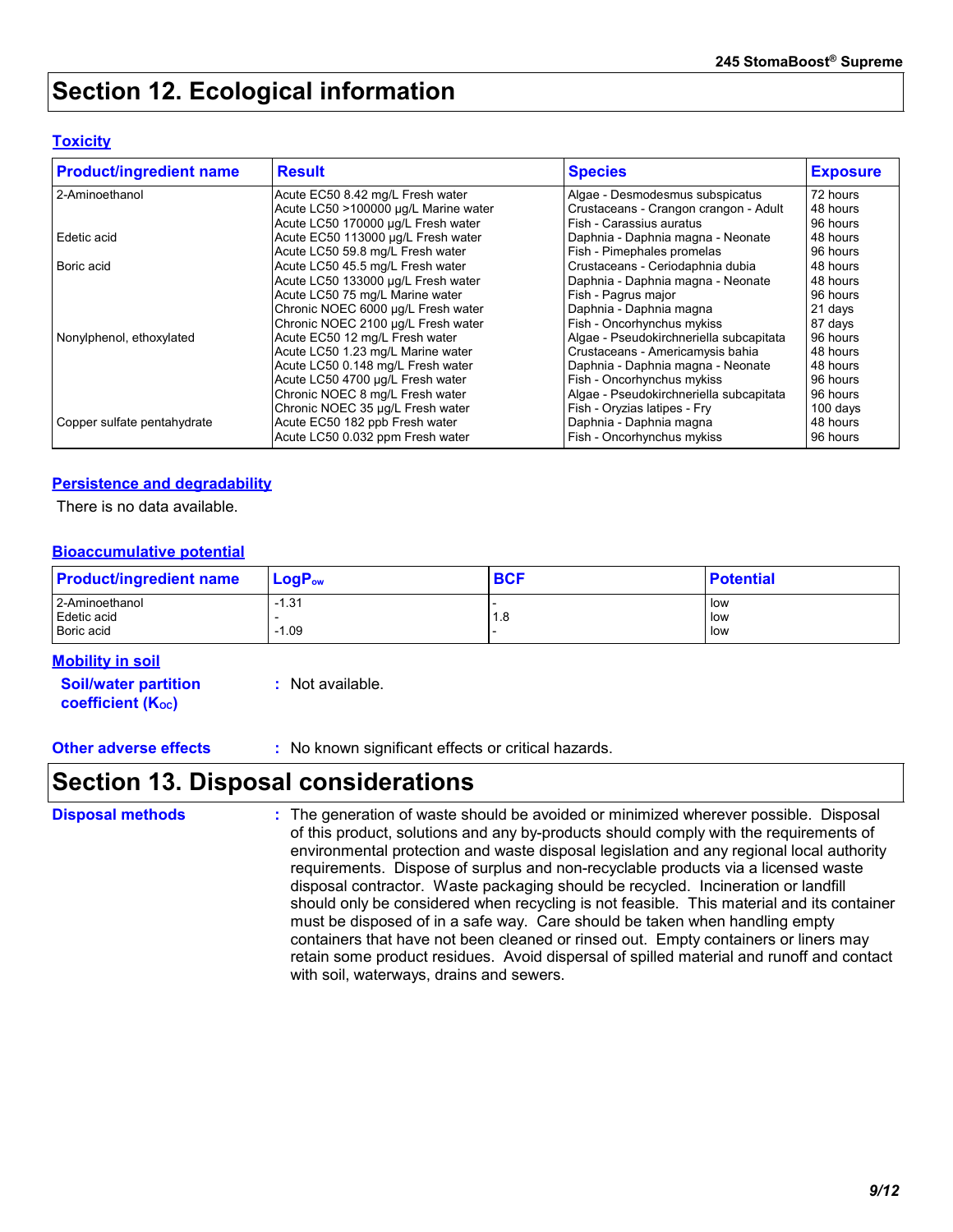### **Section 12. Ecological information**

#### **Toxicity**

| <b>Product/ingredient name</b> | <b>Result</b>                        | <b>Species</b>                          | <b>Exposure</b> |
|--------------------------------|--------------------------------------|-----------------------------------------|-----------------|
| 2-Aminoethanol                 | Acute EC50 8.42 mg/L Fresh water     | Algae - Desmodesmus subspicatus         | 72 hours        |
|                                | Acute LC50 >100000 µg/L Marine water | Crustaceans - Crangon crangon - Adult   | 48 hours        |
|                                | Acute LC50 170000 µg/L Fresh water   | Fish - Carassius auratus                | 96 hours        |
| Edetic acid                    | Acute EC50 113000 µg/L Fresh water   | Daphnia - Daphnia magna - Neonate       | 48 hours        |
|                                | Acute LC50 59.8 mg/L Fresh water     | Fish - Pimephales promelas              | 96 hours        |
| Boric acid                     | Acute LC50 45.5 mg/L Fresh water     | Crustaceans - Ceriodaphnia dubia        | 48 hours        |
|                                | Acute LC50 133000 µg/L Fresh water   | Daphnia - Daphnia magna - Neonate       | 48 hours        |
|                                | Acute LC50 75 mg/L Marine water      | Fish - Pagrus major                     | 96 hours        |
|                                | Chronic NOEC 6000 µg/L Fresh water   | Daphnia - Daphnia magna                 | 21 days         |
|                                | Chronic NOEC 2100 µg/L Fresh water   | Fish - Oncorhynchus mykiss              | 87 days         |
| Nonylphenol, ethoxylated       | Acute EC50 12 mg/L Fresh water       | Algae - Pseudokirchneriella subcapitata | 96 hours        |
|                                | Acute LC50 1.23 mg/L Marine water    | Crustaceans - Americamysis bahia        | 48 hours        |
|                                | Acute LC50 0.148 mg/L Fresh water    | Daphnia - Daphnia magna - Neonate       | 48 hours        |
|                                | Acute LC50 4700 µg/L Fresh water     | Fish - Oncorhynchus mykiss              | 96 hours        |
|                                | Chronic NOEC 8 mg/L Fresh water      | Algae - Pseudokirchneriella subcapitata | 96 hours        |
|                                | Chronic NOEC 35 µg/L Fresh water     | Fish - Oryzias latipes - Fry            | 100 days        |
| Copper sulfate pentahydrate    | Acute EC50 182 ppb Fresh water       | Daphnia - Daphnia magna                 | 48 hours        |
|                                | Acute LC50 0.032 ppm Fresh water     | Fish - Oncorhynchus mykiss              | 96 hours        |

#### **Persistence and degradability**

There is no data available.

#### **Bioaccumulative potential**

| <b>Product/ingredient name</b> | $LogP_{ow}$ | <b>BCF</b> | <b>Potential</b> |
|--------------------------------|-------------|------------|------------------|
| 2-Aminoethanol                 | $-1.31$     |            | i low            |
| Edetic acid                    |             | 1.8        | low              |
| Boric acid                     | $-1.09$     |            | low              |

#### **Mobility in soil**

**Soil/water partition coefficient (KOC)**

**:** Not available.

**Other adverse effects** : No known significant effects or critical hazards.

### **Section 13. Disposal considerations**

The generation of waste should be avoided or minimized wherever possible. Disposal of this product, solutions and any by-products should comply with the requirements of environmental protection and waste disposal legislation and any regional local authority requirements. Dispose of surplus and non-recyclable products via a licensed waste disposal contractor. Waste packaging should be recycled. Incineration or landfill should only be considered when recycling is not feasible. This material and its container must be disposed of in a safe way. Care should be taken when handling empty containers that have not been cleaned or rinsed out. Empty containers or liners may retain some product residues. Avoid dispersal of spilled material and runoff and contact with soil, waterways, drains and sewers. **Disposal methods :**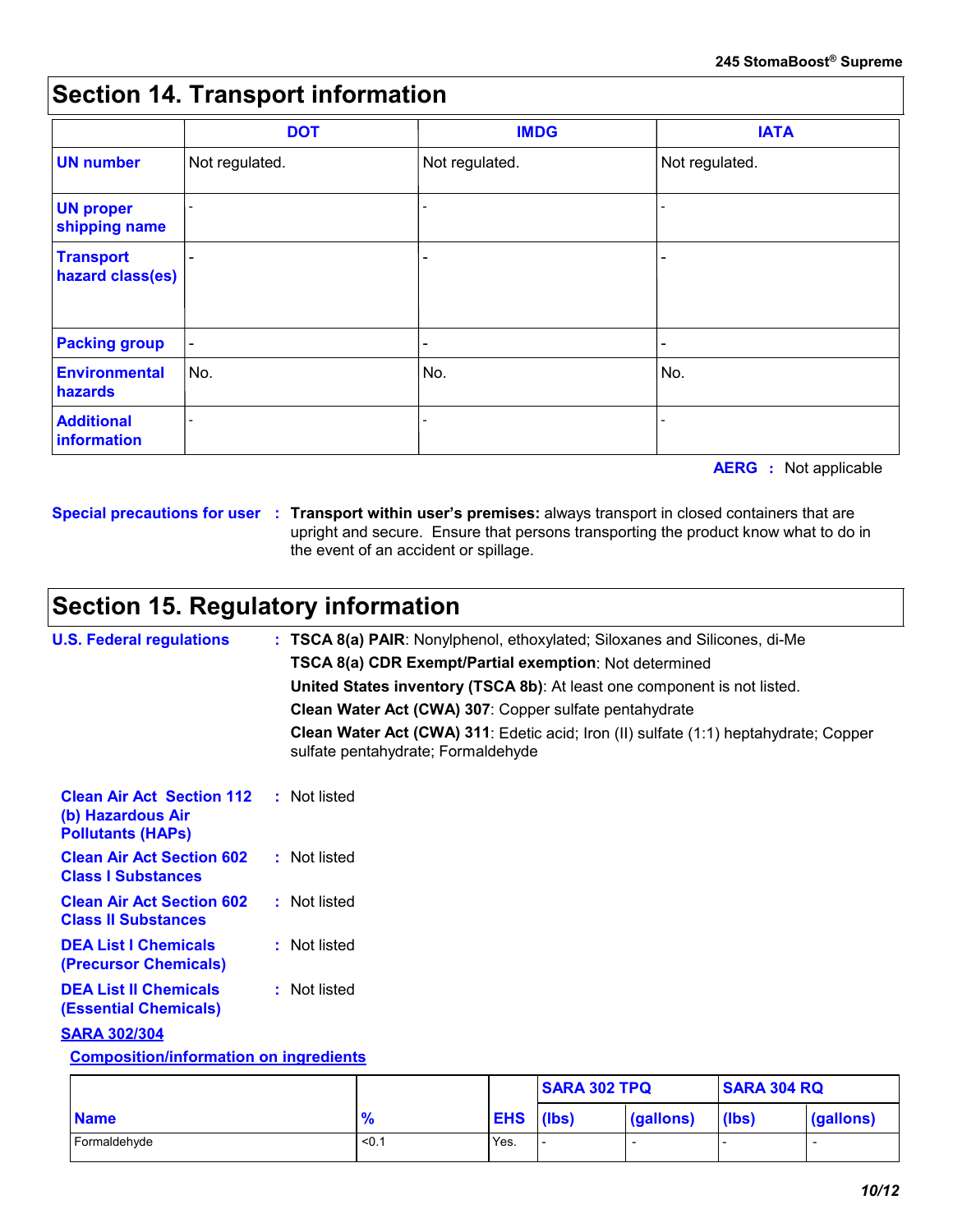### **Section 14. Transport information**

|                                      | <b>DOT</b>               | <b>IMDG</b>                  | <b>IATA</b>    |
|--------------------------------------|--------------------------|------------------------------|----------------|
| <b>UN number</b>                     | Not regulated.           | Not regulated.               | Not regulated. |
| <b>UN proper</b><br>shipping name    | $\overline{\phantom{a}}$ |                              |                |
| <b>Transport</b><br>hazard class(es) | $\overline{\phantom{a}}$ | $\qquad \qquad \blacksquare$ | -              |
| <b>Packing group</b>                 | $\blacksquare$           |                              | -              |
| <b>Environmental</b><br>hazards      | No.                      | No.                          | No.            |
| <b>Additional</b><br>information     | $\overline{a}$           |                              | -              |

**AERG :** Not applicable

**Special precautions for user Transport within user's premises:** always transport in closed containers that are **:** upright and secure. Ensure that persons transporting the product know what to do in the event of an accident or spillage.

## **Section 15. Regulatory information**

| <b>U.S. Federal regulations</b>                                                   | : TSCA 8(a) PAIR: Nonylphenol, ethoxylated; Siloxanes and Silicones, di-Me                                                 |
|-----------------------------------------------------------------------------------|----------------------------------------------------------------------------------------------------------------------------|
|                                                                                   | <b>TSCA 8(a) CDR Exempt/Partial exemption: Not determined</b>                                                              |
|                                                                                   | United States inventory (TSCA 8b): At least one component is not listed.                                                   |
|                                                                                   | Clean Water Act (CWA) 307: Copper sulfate pentahydrate                                                                     |
|                                                                                   | Clean Water Act (CWA) 311: Edetic acid; Iron (II) sulfate (1:1) heptahydrate; Copper<br>sulfate pentahydrate; Formaldehyde |
| <b>Clean Air Act Section 112</b><br>(b) Hazardous Air<br><b>Pollutants (HAPS)</b> | : Not listed                                                                                                               |
| <b>Clean Air Act Section 602</b><br><b>Class I Substances</b>                     | : Not listed                                                                                                               |
| <b>Clean Air Act Section 602</b><br><b>Class II Substances</b>                    | : Not listed                                                                                                               |
| <b>DEA List I Chemicals</b><br>(Precursor Chemicals)                              | : Not listed                                                                                                               |
| <b>DEA List II Chemicals</b><br><b>(Essential Chemicals)</b>                      | : Not listed                                                                                                               |
| <b>SARA 302/304</b>                                                               |                                                                                                                            |

#### **Composition/information on ingredients**

|              |               |                  | <b>SARA 302 TPQ</b>      |                  | <b>SARA 304 RQ</b> |                          |
|--------------|---------------|------------------|--------------------------|------------------|--------------------|--------------------------|
| <b>Name</b>  | $\frac{9}{6}$ | <b>EHS</b> (lbs) |                          | $\sqrt{qalions}$ | (lbs)              | (gallons)                |
| Formaldehyde | < 0.1         | Yes.             | $\overline{\phantom{a}}$ |                  |                    | $\overline{\phantom{a}}$ |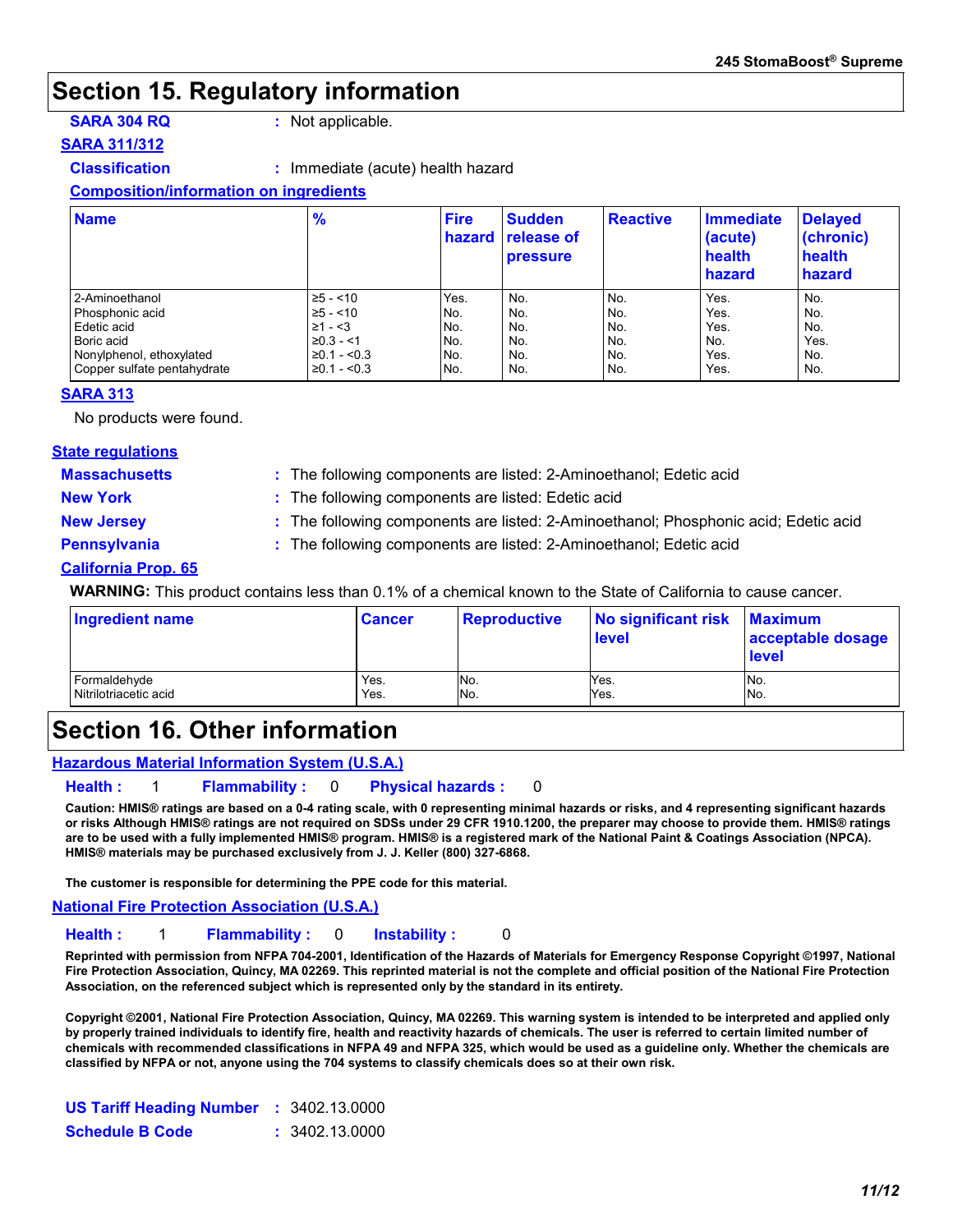### **Section 15. Regulatory information**

**SARA 304 RQ :** Not applicable.

#### **SARA 311/312**

**Classification :** Immediate (acute) health hazard

#### **Composition/information on ingredients**

| <b>Name</b>                 | $\frac{9}{6}$     | <b>Fire</b><br>hazard | <b>Sudden</b><br><b>release of</b><br><b>pressure</b> | <b>Reactive</b> | Immediate<br>(acute)<br>health<br>hazard | <b>Delayed</b><br>$ $ (chronic)<br>health<br>hazard |
|-----------------------------|-------------------|-----------------------|-------------------------------------------------------|-----------------|------------------------------------------|-----------------------------------------------------|
| 2-Aminoethanol              | $\ge 5 - 10$      | Yes.                  | No.                                                   | No.             | Yes.                                     | No.                                                 |
| l Phosphonic acid           | $\ge 5 - 10$      | No.                   | No.                                                   | No.             | Yes.                                     | No.                                                 |
| l Edetic acid               | $\geq 1 - 3$      | No.                   | No.                                                   | No.             | Yes.                                     | No.                                                 |
| Boric acid                  | $\geq 0.3 - 1.1$  | No.                   | No.                                                   | I No.           | No.                                      | Yes.                                                |
| Nonylphenol, ethoxylated    | $\geq 0.1 - 0.3$  | No.                   | No.                                                   | No.             | Yes.                                     | No.                                                 |
| Copper sulfate pentahydrate | $\geq$ 0.1 - <0.3 | No.                   | No.                                                   | No.             | Yes.                                     | No.                                                 |

#### **SARA 313**

No products were found.

#### **State regulations**

**Massachusetts :**

The following components are listed: 2-Aminoethanol; Edetic acid

**New York :** The following components are listed: Edetic acid

**New Jersey :** The following components are listed: 2-Aminoethanol; Phosphonic acid; Edetic acid

- 
- **Pennsylvania :** The following components are listed: 2-Aminoethanol; Edetic acid

#### **California Prop. 65**

**WARNING:** This product contains less than 0.1% of a chemical known to the State of California to cause cancer.

| <b>Ingredient name</b> | <b>Cancer</b> | Reproductive | No significant risk<br><b>level</b> | <b>Maximum</b><br>acceptable dosage<br><b>level</b> |
|------------------------|---------------|--------------|-------------------------------------|-----------------------------------------------------|
| Formaldehyde           | Yes.          | No.          | Yes.                                | No.                                                 |
| Nitrilotriacetic acid  | Yes.          | No.          | Yes.                                | No.                                                 |

### **Section 16. Other information**

#### **Hazardous Material Information System (U.S.A.)**

#### **Health :** 1 **Flammability :** 0 **Physical hazards :** 0

**Caution: HMIS® ratings are based on a 0-4 rating scale, with 0 representing minimal hazards or risks, and 4 representing significant hazards or risks Although HMIS® ratings are not required on SDSs under 29 CFR 1910.1200, the preparer may choose to provide them. HMIS® ratings are to be used with a fully implemented HMIS® program. HMIS® is a registered mark of the National Paint & Coatings Association (NPCA). HMIS® materials may be purchased exclusively from J. J. Keller (800) 327-6868.**

**The customer is responsible for determining the PPE code for this material.**

**National Fire Protection Association (U.S.A.)**

#### **Health :** 1 **Flammability :** 0 **Instability :** 0

**Reprinted with permission from NFPA 704-2001, Identification of the Hazards of Materials for Emergency Response Copyright ©1997, National Fire Protection Association, Quincy, MA 02269. This reprinted material is not the complete and official position of the National Fire Protection Association, on the referenced subject which is represented only by the standard in its entirety.**

**Copyright ©2001, National Fire Protection Association, Quincy, MA 02269. This warning system is intended to be interpreted and applied only by properly trained individuals to identify fire, health and reactivity hazards of chemicals. The user is referred to certain limited number of chemicals with recommended classifications in NFPA 49 and NFPA 325, which would be used as a guideline only. Whether the chemicals are classified by NFPA or not, anyone using the 704 systems to classify chemicals does so at their own risk.**

| <b>US Tariff Heading Number : 3402.13.0000</b> |                |
|------------------------------------------------|----------------|
| <b>Schedule B Code</b>                         | : 3402.13.0000 |